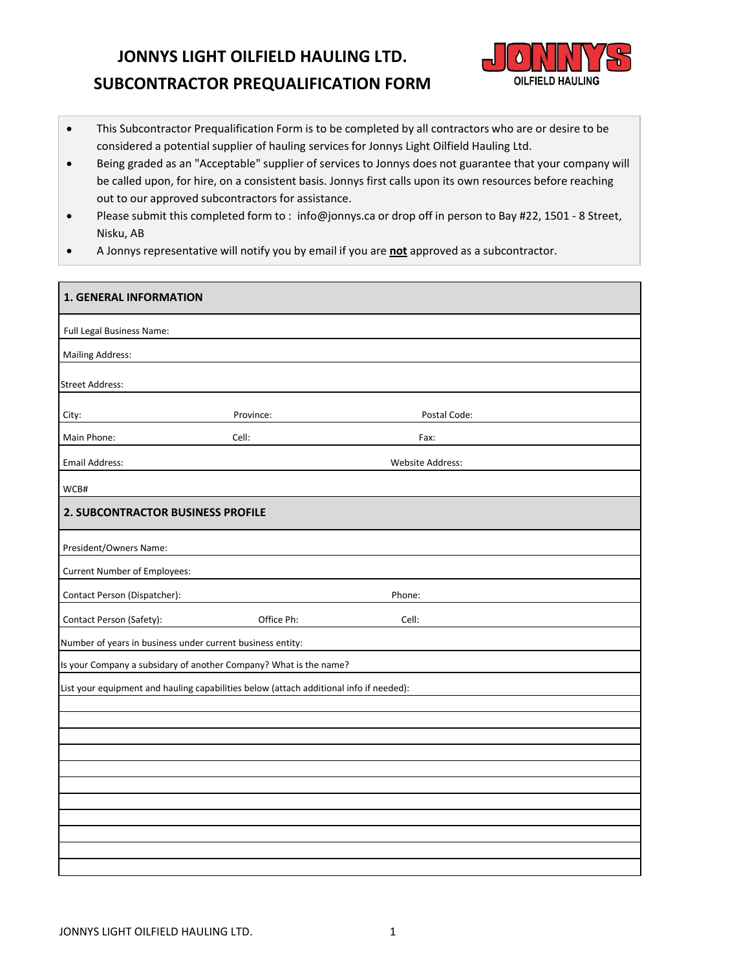# **JONNYS LIGHT OILFIELD HAULING LTD. SUBCONTRACTOR PREQUALIFICATION FORM**



- This Subcontractor Prequalification Form is to be completed by all contractors who are or desire to be considered a potential supplier of hauling services for Jonnys Light Oilfield Hauling Ltd.
- Being graded as an "Acceptable" supplier of services to Jonnys does not guarantee that your company will be called upon, for hire, on a consistent basis. Jonnys first calls upon its own resources before reaching out to our approved subcontractors for assistance.
- Please submit this completed form to : info@jonnys.ca or drop off in person to Bay #22, 1501 8 Street, Nisku, AB
- A Jonnys representative will notify you by email if you are **not** approved as a subcontractor.

| <b>1. GENERAL INFORMATION</b>                              |                                                                                        |                         |  |  |  |
|------------------------------------------------------------|----------------------------------------------------------------------------------------|-------------------------|--|--|--|
| Full Legal Business Name:                                  |                                                                                        |                         |  |  |  |
| <b>Mailing Address:</b>                                    |                                                                                        |                         |  |  |  |
| <b>Street Address:</b>                                     |                                                                                        |                         |  |  |  |
| City:                                                      | Province:                                                                              | Postal Code:            |  |  |  |
| Main Phone:                                                | Cell:                                                                                  | Fax:                    |  |  |  |
| <b>Email Address:</b>                                      |                                                                                        | <b>Website Address:</b> |  |  |  |
| WCB#                                                       |                                                                                        |                         |  |  |  |
| 2. SUBCONTRACTOR BUSINESS PROFILE                          |                                                                                        |                         |  |  |  |
| President/Owners Name:                                     |                                                                                        |                         |  |  |  |
| Current Number of Employees:                               |                                                                                        |                         |  |  |  |
| Contact Person (Dispatcher):                               |                                                                                        | Phone:                  |  |  |  |
| Contact Person (Safety):                                   | Office Ph:                                                                             | Cell:                   |  |  |  |
| Number of years in business under current business entity: |                                                                                        |                         |  |  |  |
|                                                            | Is your Company a subsidary of another Company? What is the name?                      |                         |  |  |  |
|                                                            | List your equipment and hauling capabilities below (attach additional info if needed): |                         |  |  |  |
|                                                            |                                                                                        |                         |  |  |  |
|                                                            |                                                                                        |                         |  |  |  |
|                                                            |                                                                                        |                         |  |  |  |
|                                                            |                                                                                        |                         |  |  |  |
|                                                            |                                                                                        |                         |  |  |  |
|                                                            |                                                                                        |                         |  |  |  |
|                                                            |                                                                                        |                         |  |  |  |
|                                                            |                                                                                        |                         |  |  |  |
|                                                            |                                                                                        |                         |  |  |  |
|                                                            |                                                                                        |                         |  |  |  |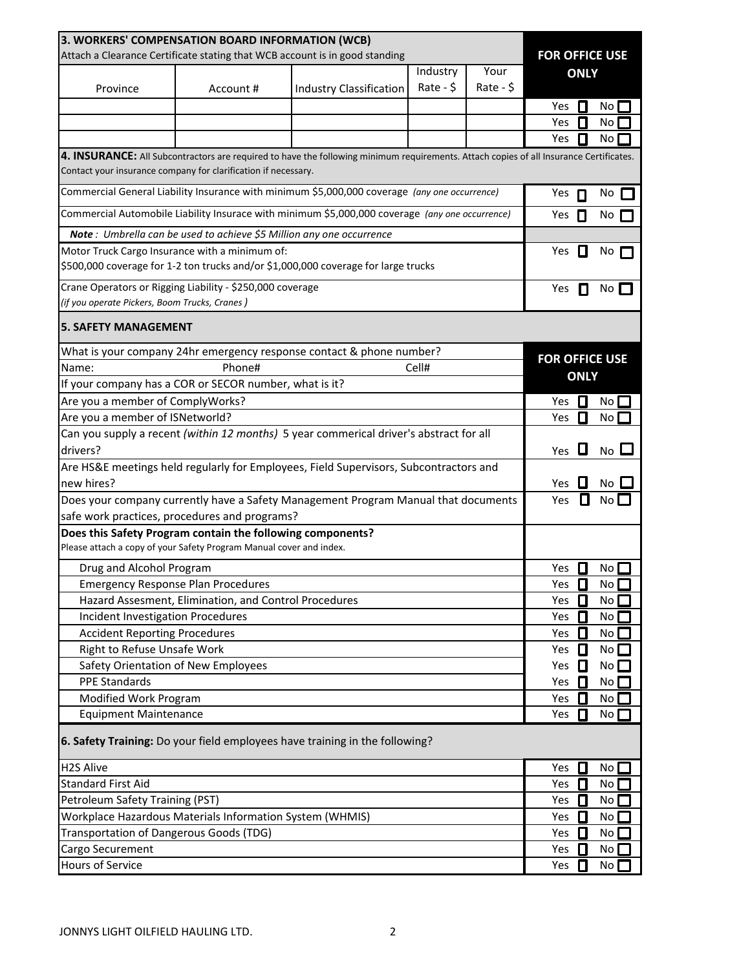| 3. WORKERS' COMPENSATION BOARD INFORMATION (WCB)                            |                                                                      |                                                                                                                                        |                |                       |                       |                 |
|-----------------------------------------------------------------------------|----------------------------------------------------------------------|----------------------------------------------------------------------------------------------------------------------------------------|----------------|-----------------------|-----------------------|-----------------|
| Attach a Clearance Certificate stating that WCB account is in good standing |                                                                      |                                                                                                                                        |                | <b>FOR OFFICE USE</b> |                       |                 |
|                                                                             |                                                                      |                                                                                                                                        | Industry       | Your                  | <b>ONLY</b>           |                 |
| Province                                                                    | Account#                                                             | <b>Industry Classification</b>                                                                                                         | Rate - $\zeta$ | $Rate - $$            |                       |                 |
|                                                                             |                                                                      |                                                                                                                                        |                |                       | Yes<br>Ш              | No.             |
|                                                                             |                                                                      |                                                                                                                                        |                |                       | Yes<br>П              | No              |
|                                                                             |                                                                      |                                                                                                                                        |                |                       | П<br>Yes              | No.             |
|                                                                             |                                                                      | 4. INSURANCE: All Subcontractors are required to have the following minimum requirements. Attach copies of all Insurance Certificates. |                |                       |                       |                 |
| Contact your insurance company for clarification if necessary.              |                                                                      |                                                                                                                                        |                |                       |                       |                 |
|                                                                             |                                                                      | Commercial General Liability Insurance with minimum \$5,000,000 coverage (any one occurrence)                                          |                |                       | Yes<br>П              | No              |
|                                                                             |                                                                      | Commercial Automobile Liability Insurace with minimum \$5,000,000 coverage (any one occurrence)                                        |                |                       | Yes<br>Л              | No              |
|                                                                             | Note: Umbrella can be used to achieve \$5 Million any one occurrence |                                                                                                                                        |                |                       |                       |                 |
| Motor Truck Cargo Insurance with a minimum of:                              |                                                                      |                                                                                                                                        |                |                       | Yes<br>Н              | No              |
|                                                                             |                                                                      | \$500,000 coverage for 1-2 ton trucks and/or \$1,000,000 coverage for large trucks                                                     |                |                       |                       |                 |
| Crane Operators or Rigging Liability - \$250,000 coverage                   |                                                                      |                                                                                                                                        |                |                       | Yes<br>П              | No              |
| (if you operate Pickers, Boom Trucks, Cranes)                               |                                                                      |                                                                                                                                        |                |                       |                       |                 |
| <b>5. SAFETY MANAGEMENT</b>                                                 |                                                                      |                                                                                                                                        |                |                       |                       |                 |
|                                                                             |                                                                      | What is your company 24hr emergency response contact & phone number?                                                                   |                |                       |                       |                 |
| Name:                                                                       | Phone#                                                               |                                                                                                                                        | Cell#          |                       | <b>FOR OFFICE USE</b> |                 |
| If your company has a COR or SECOR number, what is it?                      |                                                                      |                                                                                                                                        |                |                       | <b>ONLY</b>           |                 |
| Are you a member of ComplyWorks?                                            |                                                                      |                                                                                                                                        |                |                       | Yes<br>П              | No              |
| Are you a member of ISNetworld?                                             |                                                                      |                                                                                                                                        |                |                       | П<br>Yes              | No              |
|                                                                             |                                                                      | Can you supply a recent (within 12 months) 5 year commerical driver's abstract for all                                                 |                |                       |                       |                 |
| drivers?                                                                    |                                                                      |                                                                                                                                        |                |                       | L<br>Yes              | No <sub>1</sub> |
|                                                                             |                                                                      | Are HS&E meetings held regularly for Employees, Field Supervisors, Subcontractors and                                                  |                |                       |                       |                 |
| new hires?                                                                  |                                                                      |                                                                                                                                        |                |                       | Yes                   | No              |
|                                                                             |                                                                      | Does your company currently have a Safety Management Program Manual that documents                                                     |                |                       | Yes                   |                 |
| safe work practices, procedures and programs?                               |                                                                      |                                                                                                                                        |                |                       |                       |                 |
| Does this Safety Program contain the following components?                  |                                                                      |                                                                                                                                        |                |                       |                       |                 |
| Please attach a copy of your Safety Program Manual cover and index.         |                                                                      |                                                                                                                                        |                |                       |                       |                 |
| Drug and Alcohol Program                                                    |                                                                      |                                                                                                                                        |                |                       | Yes<br>Ш              | No              |
|                                                                             | <b>Emergency Response Plan Procedures</b>                            |                                                                                                                                        |                |                       | Yes<br>0              | No              |
|                                                                             | Hazard Assesment, Elimination, and Control Procedures                |                                                                                                                                        |                |                       | Yes<br>О              | No              |
| <b>Incident Investigation Procedures</b>                                    |                                                                      |                                                                                                                                        |                |                       | $\Box$<br>Yes         | No              |
| <b>Accident Reporting Procedures</b>                                        |                                                                      |                                                                                                                                        |                |                       | О<br>Yes              | No              |
| Right to Refuse Unsafe Work                                                 |                                                                      |                                                                                                                                        |                |                       | 0<br>Yes              | No              |
| Safety Orientation of New Employees                                         |                                                                      |                                                                                                                                        |                |                       | Yes<br>0              | $No$ $\Box$     |
| <b>PPE Standards</b>                                                        |                                                                      |                                                                                                                                        |                |                       | Yes<br>П              | No              |
| Modified Work Program                                                       |                                                                      |                                                                                                                                        |                |                       | О<br>Yes              | No              |
| <b>Equipment Maintenance</b>                                                |                                                                      |                                                                                                                                        |                |                       | Yes<br>П              | No              |
|                                                                             |                                                                      | 6. Safety Training: Do your field employees have training in the following?                                                            |                |                       |                       |                 |
| <b>H2S Alive</b>                                                            |                                                                      |                                                                                                                                        |                |                       | 0<br>Yes              | No              |
| <b>Standard First Aid</b>                                                   |                                                                      |                                                                                                                                        |                |                       | О<br>Yes              | No              |
| Petroleum Safety Training (PST)                                             |                                                                      |                                                                                                                                        |                |                       | О<br>Yes              | No              |
| Workplace Hazardous Materials Information System (WHMIS)                    |                                                                      |                                                                                                                                        |                |                       | О<br>Yes              | No              |
| Transportation of Dangerous Goods (TDG)                                     |                                                                      |                                                                                                                                        |                | О<br>Yes              | No                    |                 |
| Cargo Securement                                                            |                                                                      |                                                                                                                                        |                | О<br>Yes              | No                    |                 |
| Hours of Service                                                            |                                                                      |                                                                                                                                        |                |                       | Yes<br>П              | No              |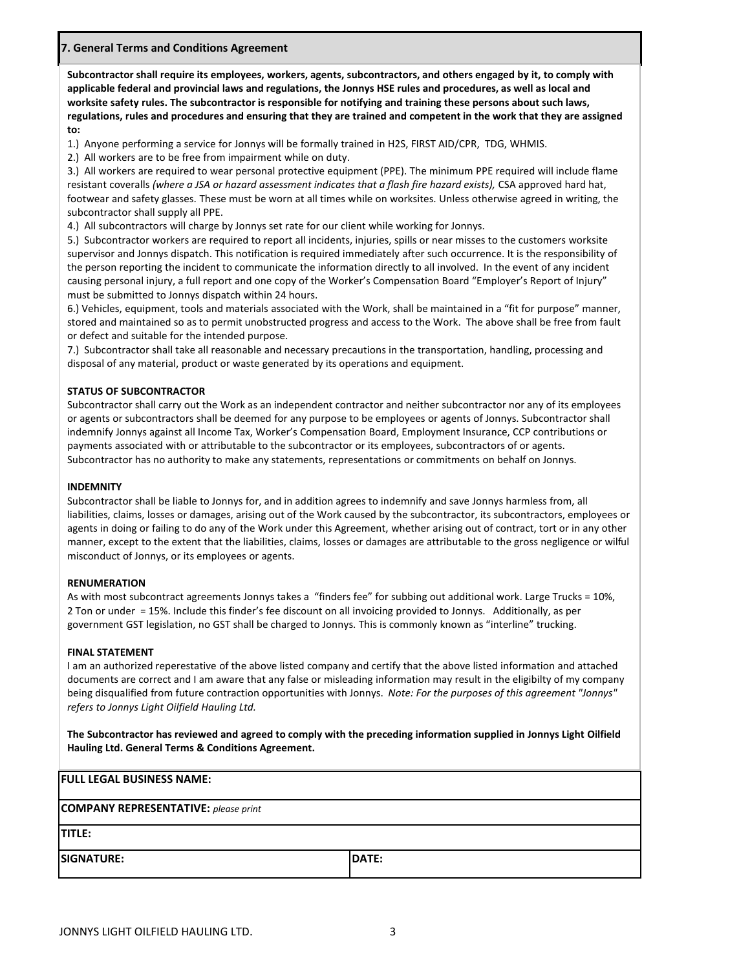## **7. General Terms and Conditions Agreement**

**Subcontractor shall require its employees, workers, agents, subcontractors, and others engaged by it, to comply with applicable federal and provincial laws and regulations, the Jonnys HSE rules and procedures, as well as local and worksite safety rules. The subcontractor is responsible for notifying and training these persons about such laws, regulations, rules and procedures and ensuring that they are trained and competent in the work that they are assigned to:**

1.) Anyone performing a service for Jonnys will be formally trained in H2S, FIRST AID/CPR, TDG, WHMIS.

2.) All workers are to be free from impairment while on duty.

3.) All workers are required to wear personal protective equipment (PPE). The minimum PPE required will include flame resistant coveralls *(where a JSA or hazard assessment indicates that a flash fire hazard exists),* CSA approved hard hat, footwear and safety glasses. These must be worn at all times while on worksites. Unless otherwise agreed in writing, the subcontractor shall supply all PPE.

4.) All subcontractors will charge by Jonnys set rate for our client while working for Jonnys.

5.) Subcontractor workers are required to report all incidents, injuries, spills or near misses to the customers worksite supervisor and Jonnys dispatch. This notification is required immediately after such occurrence. It is the responsibility of the person reporting the incident to communicate the information directly to all involved. In the event of any incident causing personal injury, a full report and one copy of the Worker's Compensation Board "Employer's Report of Injury" must be submitted to Jonnys dispatch within 24 hours.

6.) Vehicles, equipment, tools and materials associated with the Work, shall be maintained in a "fit for purpose" manner, stored and maintained so as to permit unobstructed progress and access to the Work. The above shall be free from fault or defect and suitable for the intended purpose.

7.) Subcontractor shall take all reasonable and necessary precautions in the transportation, handling, processing and disposal of any material, product or waste generated by its operations and equipment.

### **STATUS OF SUBCONTRACTOR**

Subcontractor shall carry out the Work as an independent contractor and neither subcontractor nor any of its employees or agents or subcontractors shall be deemed for any purpose to be employees or agents of Jonnys. Subcontractor shall indemnify Jonnys against all Income Tax, Worker's Compensation Board, Employment Insurance, CCP contributions or payments associated with or attributable to the subcontractor or its employees, subcontractors of or agents. Subcontractor has no authority to make any statements, representations or commitments on behalf on Jonnys.

#### **INDEMNITY**

Subcontractor shall be liable to Jonnys for, and in addition agrees to indemnify and save Jonnys harmless from, all liabilities, claims, losses or damages, arising out of the Work caused by the subcontractor, its subcontractors, employees or agents in doing or failing to do any of the Work under this Agreement, whether arising out of contract, tort or in any other manner, except to the extent that the liabilities, claims, losses or damages are attributable to the gross negligence or wilful misconduct of Jonnys, or its employees or agents.

#### **RENUMERATION**

As with most subcontract agreements Jonnys takes a "finders fee" for subbing out additional work. Large Trucks = 10%, 2 Ton or under = 15%. Include this finder's fee discount on all invoicing provided to Jonnys. Additionally, as per government GST legislation, no GST shall be charged to Jonnys. This is commonly known as "interline" trucking.

#### **FINAL STATEMENT**

I am an authorized reperestative of the above listed company and certify that the above listed information and attached documents are correct and I am aware that any false or misleading information may result in the eligibilty of my company being disqualified from future contraction opportunities with Jonnys. *Note: For the purposes of this agreement "Jonnys" refers to Jonnys Light Oilfield Hauling Ltd.*

**The Subcontractor has reviewed and agreed to comply with the preceding information supplied in Jonnys Light Oilfield Hauling Ltd. General Terms & Conditions Agreement.**

| <b>FULL LEGAL BUSINESS NAME:</b>            |       |
|---------------------------------------------|-------|
| <b>COMPANY REPRESENTATIVE:</b> please print |       |
| <b>TITLE:</b>                               |       |
| <b>SIGNATURE:</b>                           | DATE: |